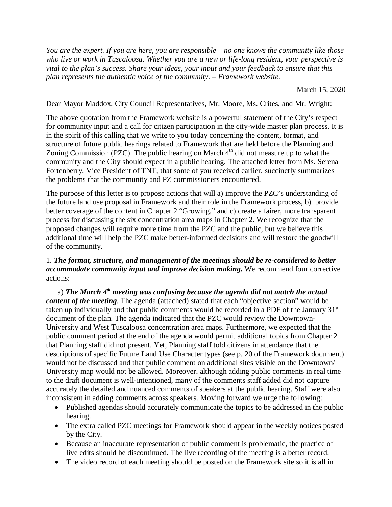*You are the expert. If you are here, you are responsible – no one knows the community like those who live or work in Tuscaloosa. Whether you are a new or life-long resident, your perspective is vital to the plan's success. Share your ideas, your input and your feedback to ensure that this plan represents the authentic voice of the community. – Framework website.*

March 15, 2020

Dear Mayor Maddox, City Council Representatives, Mr. Moore, Ms. Crites, and Mr. Wright:

The above quotation from the Framework website is a powerful statement of the City's respect for community input and a call for citizen participation in the city-wide master plan process. It is in the spirit of this calling that we write to you today concerning the content, format, and structure of future public hearings related to Framework that are held before the Planning and Zoning Commission (PZC). The public hearing on March  $4<sup>th</sup>$  did not measure up to what the community and the City should expect in a public hearing. The attached letter from Ms. Serena Fortenberry, Vice President of TNT, that some of you received earlier, succinctly summarizes the problems that the community and PZ commissioners encountered.

The purpose of this letter is to propose actions that will a) improve the PZC's understanding of the future land use proposal in Framework and their role in the Framework process, b) provide better coverage of the content in Chapter 2 "Growing," and c) create a fairer, more transparent process for discussing the six concentration area maps in Chapter 2. We recognize that the proposed changes will require more time from the PZC and the public, but we believe this additional time will help the PZC make better-informed decisions and will restore the goodwill of the community.

# 1. *The format, structure, and management of the meetings should be re-considered to better accommodate community input and improve decision making.* We recommend four corrective actions:

a) *The March 4th meeting was confusing because the agenda did not match the actual content of the meeting*. The agenda (attached) stated that each "objective section" would be taken up individually and that public comments would be recorded in a PDF of the January  $31<sup>st</sup>$ document of the plan. The agenda indicated that the PZC would review the Downtown-University and West Tuscaloosa concentration area maps. Furthermore, we expected that the public comment period at the end of the agenda would permit additional topics from Chapter 2 that Planning staff did not present. Yet, Planning staff told citizens in attendance that the descriptions of specific Future Land Use Character types (see p. 20 of the Framework document) would not be discussed and that public comment on additional sites visible on the Downtown/ University map would not be allowed. Moreover, although adding public comments in real time to the draft document is well-intentioned, many of the comments staff added did not capture accurately the detailed and nuanced comments of speakers at the public hearing. Staff were also inconsistent in adding comments across speakers. Moving forward we urge the following:

- Published agendas should accurately communicate the topics to be addressed in the public hearing.
- The extra called PZC meetings for Framework should appear in the weekly notices posted by the City.
- Because an inaccurate representation of public comment is problematic, the practice of live edits should be discontinued. The live recording of the meeting is a better record.
- The video record of each meeting should be posted on the Framework site so it is all in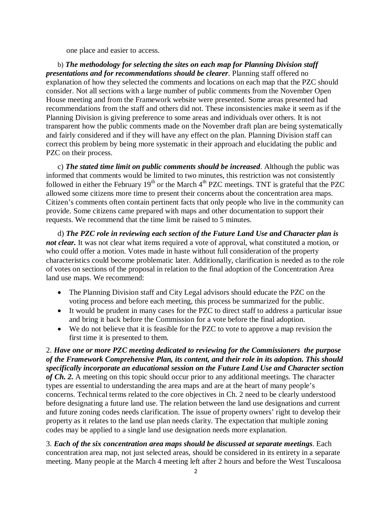one place and easier to access.

b) *The methodology for selecting the sites on each map for Planning Division staff presentations and for recommendations should be clearer*. Planning staff offered no explanation of how they selected the comments and locations on each map that the PZC should consider. Not all sections with a large number of public comments from the November Open House meeting and from the Framework website were presented. Some areas presented had recommendations from the staff and others did not. These inconsistencies make it seem as if the Planning Division is giving preference to some areas and individuals over others. It is not transparent how the public comments made on the November draft plan are being systematically and fairly considered and if they will have any effect on the plan. Planning Division staff can correct this problem by being more systematic in their approach and elucidating the public and PZC on their process.

c) *The stated time limit on public comments should be increased*. Although the public was informed that comments would be limited to two minutes, this restriction was not consistently followed in either the February  $19<sup>th</sup>$  or the March  $4<sup>th</sup>$  PZC meetings. TNT is grateful that the PZC allowed some citizens more time to present their concerns about the concentration area maps. Citizen's comments often contain pertinent facts that only people who live in the community can provide. Some citizens came prepared with maps and other documentation to support their requests. We recommend that the time limit be raised to 5 minutes.

d) *The PZC role in reviewing each section of the Future Land Use and Character plan is not clear*. It was not clear what items required a vote of approval, what constituted a motion, or who could offer a motion. Votes made in haste without full consideration of the property characteristics could become problematic later. Additionally, clarification is needed as to the role of votes on sections of the proposal in relation to the final adoption of the Concentration Area land use maps. We recommend:

- The Planning Division staff and City Legal advisors should educate the PZC on the voting process and before each meeting, this process be summarized for the public.
- It would be prudent in many cases for the PZC to direct staff to address a particular issue and bring it back before the Commission for a vote before the final adoption.
- We do not believe that it is feasible for the PZC to vote to approve a map revision the first time it is presented to them.

2. *Have one or more PZC meeting dedicated to reviewing for the Commissioners the purpose of the Framework Comprehensive Plan, its content, and their role in its adoption. This should specifically incorporate an educational session on the Future Land Use and Character section of Ch. 2.* A meeting on this topic should occur prior to any additional meetings. The character types are essential to understanding the area maps and are at the heart of many people's concerns. Technical terms related to the core objectives in Ch. 2 need to be clearly understood before designating a future land use. The relation between the land use designations and current and future zoning codes needs clarification. The issue of property owners' right to develop their property as it relates to the land use plan needs clarity. The expectation that multiple zoning codes may be applied to a single land use designation needs more explanation.

3. *Each of the six concentration area maps should be discussed at separate meetings*. Each concentration area map, not just selected areas, should be considered in its entirety in a separate meeting. Many people at the March 4 meeting left after 2 hours and before the West Tuscaloosa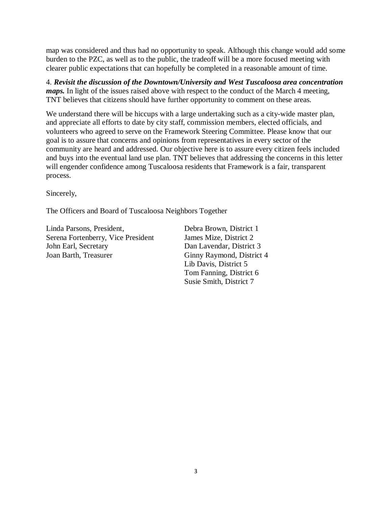map was considered and thus had no opportunity to speak. Although this change would add some burden to the PZC, as well as to the public, the tradeoff will be a more focused meeting with clearer public expectations that can hopefully be completed in a reasonable amount of time.

4. *Revisit the discussion of the Downtown/University and West Tuscaloosa area concentration maps*. In light of the issues raised above with respect to the conduct of the March 4 meeting, TNT believes that citizens should have further opportunity to comment on these areas.

We understand there will be hiccups with a large undertaking such as a city-wide master plan, and appreciate all efforts to date by city staff, commission members, elected officials, and volunteers who agreed to serve on the Framework Steering Committee. Please know that our goal is to assure that concerns and opinions from representatives in every sector of the community are heard and addressed. Our objective here is to assure every citizen feels included and buys into the eventual land use plan. TNT believes that addressing the concerns in this letter will engender confidence among Tuscaloosa residents that Framework is a fair, transparent process.

Sincerely,

The Officers and Board of Tuscaloosa Neighbors Together

Linda Parsons, President, Debra Brown, District 1 Serena Fortenberry, Vice President James Mize, District 2 John Earl, Secretary Dan Lavendar, District 3 Joan Barth, Treasurer Ginny Raymond, District 4

Lib Davis, District 5 Tom Fanning, District 6 Susie Smith, District 7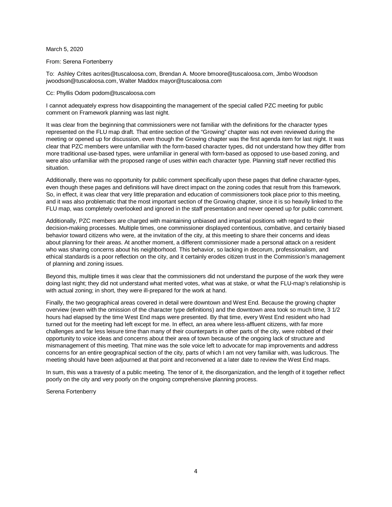March 5, 2020

From: Serena Fortenberry

To: Ashley Crites acrites@tuscaloosa.com, Brendan A. Moore bmoore@tuscaloosa.com, Jimbo Woodson jwoodson@tuscaloosa.com, Walter Maddox mayor@tuscaloosa.com

Cc: Phyllis Odom podom@tuscaloosa.com

I cannot adequately express how disappointing the management of the special called PZC meeting for public comment on Framework planning was last night.

It was clear from the beginning that commissioners were not familiar with the definitions for the character types represented on the FLU map draft. That entire section of the "Growing" chapter was not even reviewed during the meeting or opened up for discussion, even though the Growing chapter was the first agenda item for last night. It was clear that PZC members were unfamiliar with the form-based character types, did not understand how they differ from more traditional use-based types, were unfamiliar in general with form-based as opposed to use-based zoning, and were also unfamiliar with the proposed range of uses within each character type. Planning staff never rectified this situation.

Additionally, there was no opportunity for public comment specifically upon these pages that define character-types, even though these pages and definitions will have direct impact on the zoning codes that result from this framework. So, in effect, it was clear that very little preparation and education of commissioners took place prior to this meeting, and it was also problematic that the most important section of the Growing chapter, since it is so heavily linked to the FLU map, was completely overlooked and ignored in the staff presentation and never opened up for public comment.

Additionally, PZC members are charged with maintaining unbiased and impartial positions with regard to their decision-making processes. Multiple times, one commissioner displayed contentious, combative, and certainly biased behavior toward citizens who were, at the invitation of the city, at this meeting to share their concerns and ideas about planning for their areas. At another moment, a different commissioner made a personal attack on a resident who was sharing concerns about his neighborhood. This behavior, so lacking in decorum, professionalism, and ethical standards is a poor reflection on the city, and it certainly erodes citizen trust in the Commission's management of planning and zoning issues.

Beyond this, multiple times it was clear that the commissioners did not understand the purpose of the work they were doing last night; they did not understand what merited votes, what was at stake, or what the FLU-map's relationship is with actual zoning; in short, they were ill-prepared for the work at hand.

Finally, the two geographical areas covered in detail were downtown and West End. Because the growing chapter overview (even with the omission of the character type definitions) and the downtown area took so much time, 3 1/2 hours had elapsed by the time West End maps were presented. By that time, every West End resident who had turned out for the meeting had left except for me. In effect, an area where less-affluent citizens, with far more challenges and far less leisure time than many of their counterparts in other parts of the city, were robbed of their opportunity to voice ideas and concerns about their area of town because of the ongoing lack of structure and mismanagement of this meeting. That mine was the sole voice left to advocate for map improvements and address concerns for an entire geographical section of the city, parts of which I am not very familiar with, was ludicrous. The meeting should have been adjourned at that point and reconvened at a later date to review the West End maps.

In sum, this was a travesty of a public meeting. The tenor of it, the disorganization, and the length of it together reflect poorly on the city and very poorly on the ongoing comprehensive planning process.

Serena Fortenberry